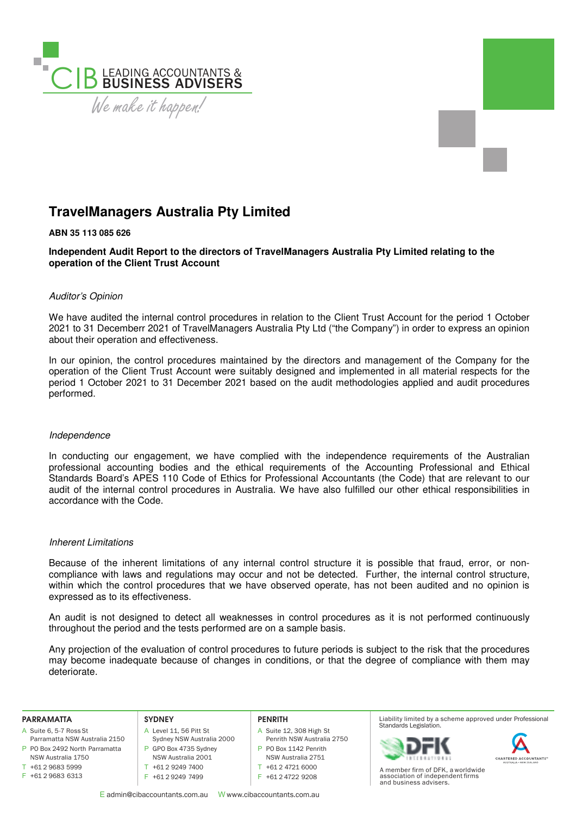

# **TravelManagers Australia Pty Limited**

## **ABN 35 113 085 626**

**Independent Audit Report to the directors of TravelManagers Australia Pty Limited relating to the operation of the Client Trust Account** 

# Auditor's Opinion

We have audited the internal control procedures in relation to the Client Trust Account for the period 1 October 2021 to 31 Decemberr 2021 of TravelManagers Australia Pty Ltd ("the Company") in order to express an opinion about their operation and effectiveness.

In our opinion, the control procedures maintained by the directors and management of the Company for the operation of the Client Trust Account were suitably designed and implemented in all material respects for the period 1 October 2021 to 31 December 2021 based on the audit methodologies applied and audit procedures performed.

### Independence

In conducting our engagement, we have complied with the independence requirements of the Australian professional accounting bodies and the ethical requirements of the Accounting Professional and Ethical Standards Board's APES 110 Code of Ethics for Professional Accountants (the Code) that are relevant to our audit of the internal control procedures in Australia. We have also fulfilled our other ethical responsibilities in accordance with the Code.

### Inherent Limitations

Because of the inherent limitations of any internal control structure it is possible that fraud, error, or noncompliance with laws and regulations may occur and not be detected. Further, the internal control structure, within which the control procedures that we have observed operate, has not been audited and no opinion is expressed as to its effectiveness.

An audit is not designed to detect all weaknesses in control procedures as it is not performed continuously throughout the period and the tests performed are on a sample basis.

Any projection of the evaluation of control procedures to future periods is subject to the risk that the procedures may become inadequate because of changes in conditions, or that the degree of compliance with them may deteriorate.

#### **PARRAMATTA**

- A Suite 6, 5-7 Ross St
- P PO Box 2492 North Parramatta Parramatta NSW Australia 2150
- NSW Australia 1750  $T + 61296835999$
- F +61 2 9683 6313

#### **SYDNEY**

- A Level 11, 56 Pitt St
- Sydney NSW Australia 2000 P GPO Box 4735 Sydney
	- NSW Australia 2001
- T +61 2 9249 7400 F +61 2 9249 7499

#### **PENRITH**

- A Suite 12, 308 High St
- Penrith NSW Australia 2750
- P PO Box 1142 Penrith NSW Australia 2751
- T +61 2 4721 6000
- F +61 2 4722 9208

Liability limited by a scheme approved under Professional Standards Legislation.





A member firm of DFK, a worldwide association of independent firms and business advisers.